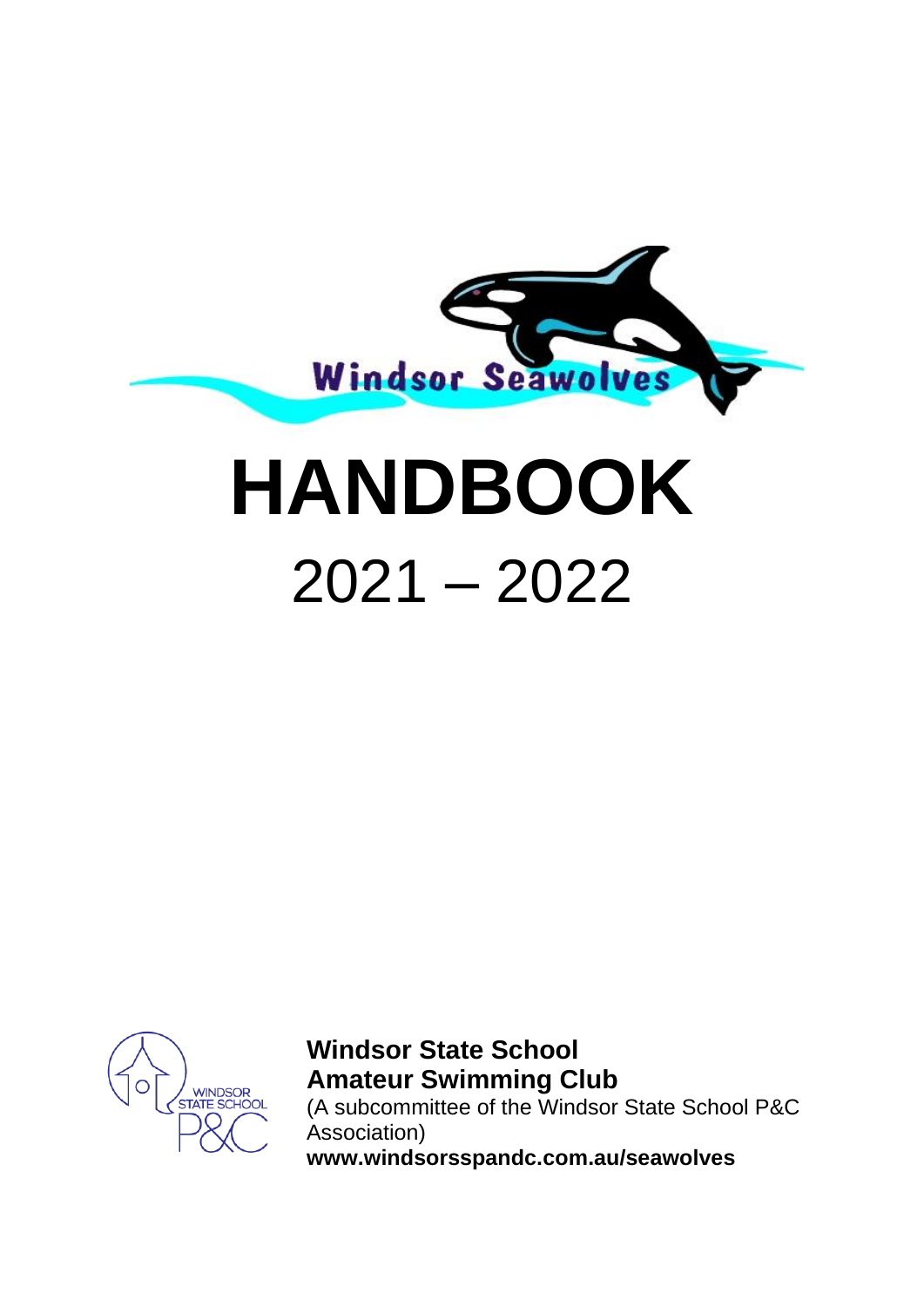

# **HANDBOOK** 2021 – 2022



**Windsor State School Amateur Swimming Club** (A subcommittee of the Windsor State School P&C Association) **www.windsorsspandc.com.au/seawolves**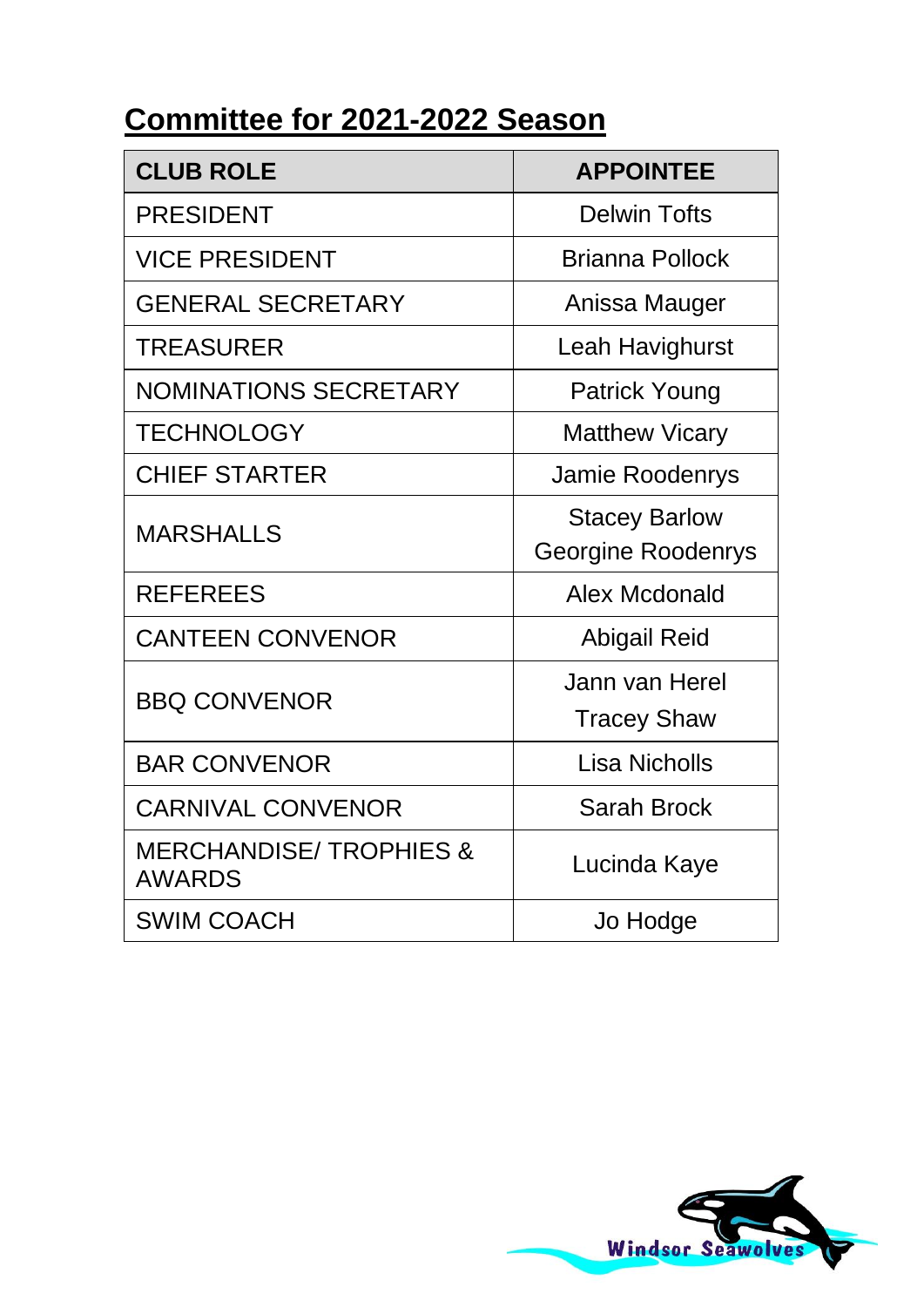# **Committee for 2021-2022 Season**

| <b>CLUB ROLE</b>                                   | <b>APPOINTEE</b>      |  |  |
|----------------------------------------------------|-----------------------|--|--|
| <b>PRESIDENT</b>                                   | Delwin Tofts          |  |  |
| <b>VICE PRESIDENT</b>                              | Brianna Pollock       |  |  |
| <b>GENERAL SECRETARY</b>                           | Anissa Mauger         |  |  |
| TREASURER                                          | Leah Havighurst       |  |  |
| <b>NOMINATIONS SECRETARY</b>                       | Patrick Young         |  |  |
| <b>TECHNOLOGY</b>                                  | <b>Matthew Vicary</b> |  |  |
| <b>CHIEF STARTER</b>                               | Jamie Roodenrys       |  |  |
| <b>MARSHALLS</b>                                   | <b>Stacey Barlow</b>  |  |  |
|                                                    | Georgine Roodenrys    |  |  |
| <b>REFEREES</b>                                    | Alex Mcdonald         |  |  |
| <b>CANTEEN CONVENOR</b>                            | Abigail Reid          |  |  |
| <b>BBQ CONVENOR</b>                                | Jann van Herel        |  |  |
|                                                    | <b>Tracey Shaw</b>    |  |  |
| <b>BAR CONVENOR</b>                                | Lisa Nicholls         |  |  |
| <b>CARNIVAL CONVENOR</b>                           | Sarah Brock           |  |  |
| <b>MERCHANDISE/TROPHIES &amp;</b><br><b>AWARDS</b> | Lucinda Kaye          |  |  |
| <b>SWIM COACH</b>                                  | Jo Hodge              |  |  |

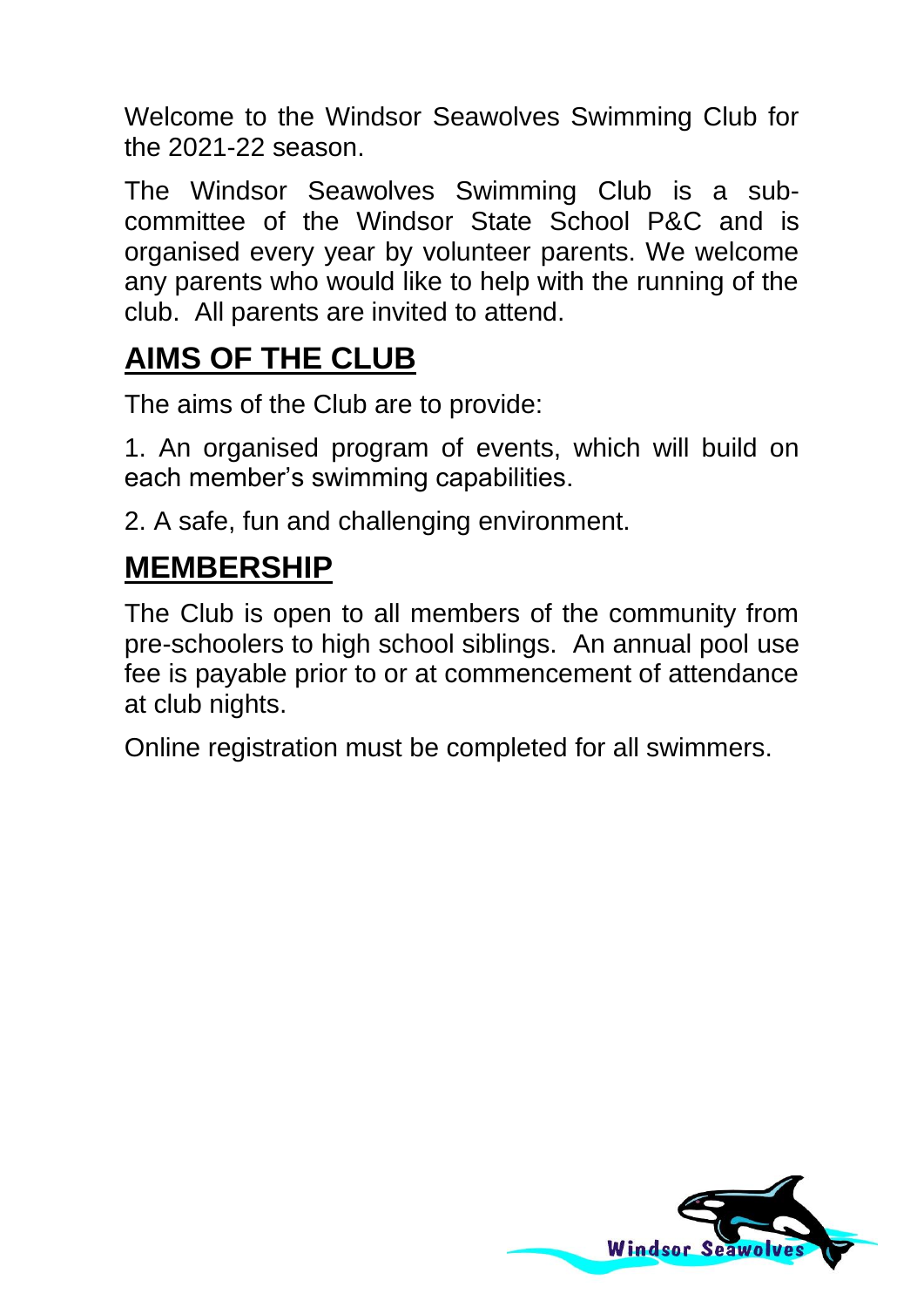Welcome to the Windsor Seawolves Swimming Club for the 2021-22 season.

The Windsor Seawolves Swimming Club is a subcommittee of the Windsor State School P&C and is organised every year by volunteer parents. We welcome any parents who would like to help with the running of the club. All parents are invited to attend.

# **AIMS OF THE CLUB**

The aims of the Club are to provide:

1. An organised program of events, which will build on each member's swimming capabilities.

2. A safe, fun and challenging environment.

# **MEMBERSHIP**

The Club is open to all members of the community from pre-schoolers to high school siblings. An annual pool use fee is payable prior to or at commencement of attendance at club nights.

Online registration must be completed for all swimmers.

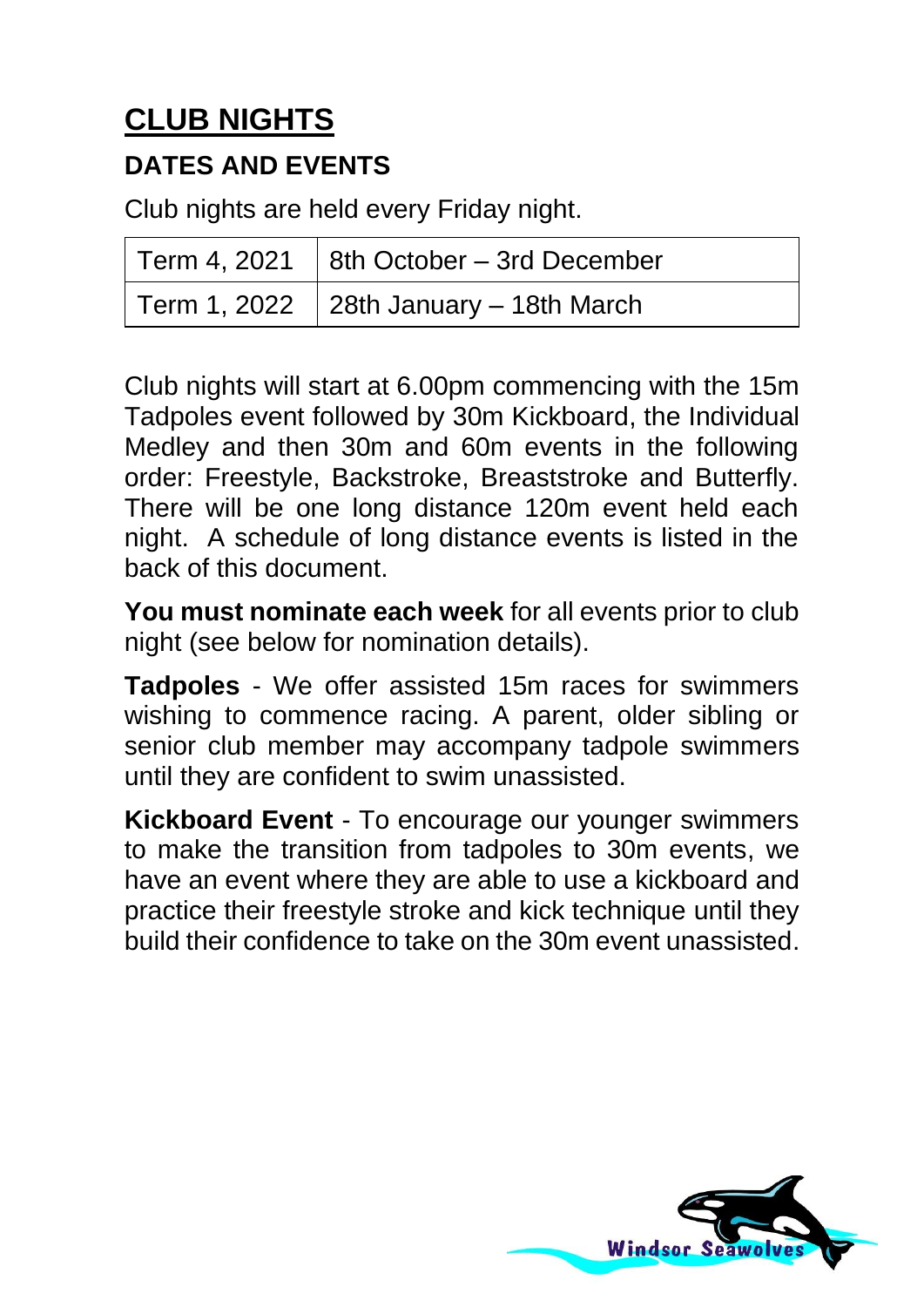# **CLUB NIGHTS**

#### **DATES AND EVENTS**

Club nights are held every Friday night.

| Term 4, 2021 $ $ 8th October – 3rd December |
|---------------------------------------------|
| Term 1, 2022 $\,$ 28th January – 18th March |

Club nights will start at 6.00pm commencing with the 15m Tadpoles event followed by 30m Kickboard, the Individual Medley and then 30m and 60m events in the following order: Freestyle, Backstroke, Breaststroke and Butterfly. There will be one long distance 120m event held each night. A schedule of long distance events is listed in the back of this document.

**You must nominate each week** for all events prior to club night (see below for nomination details).

**Tadpoles** - We offer assisted 15m races for swimmers wishing to commence racing. A parent, older sibling or senior club member may accompany tadpole swimmers until they are confident to swim unassisted.

**Kickboard Event** - To encourage our younger swimmers to make the transition from tadpoles to 30m events, we have an event where they are able to use a kickboard and practice their freestyle stroke and kick technique until they build their confidence to take on the 30m event unassisted.

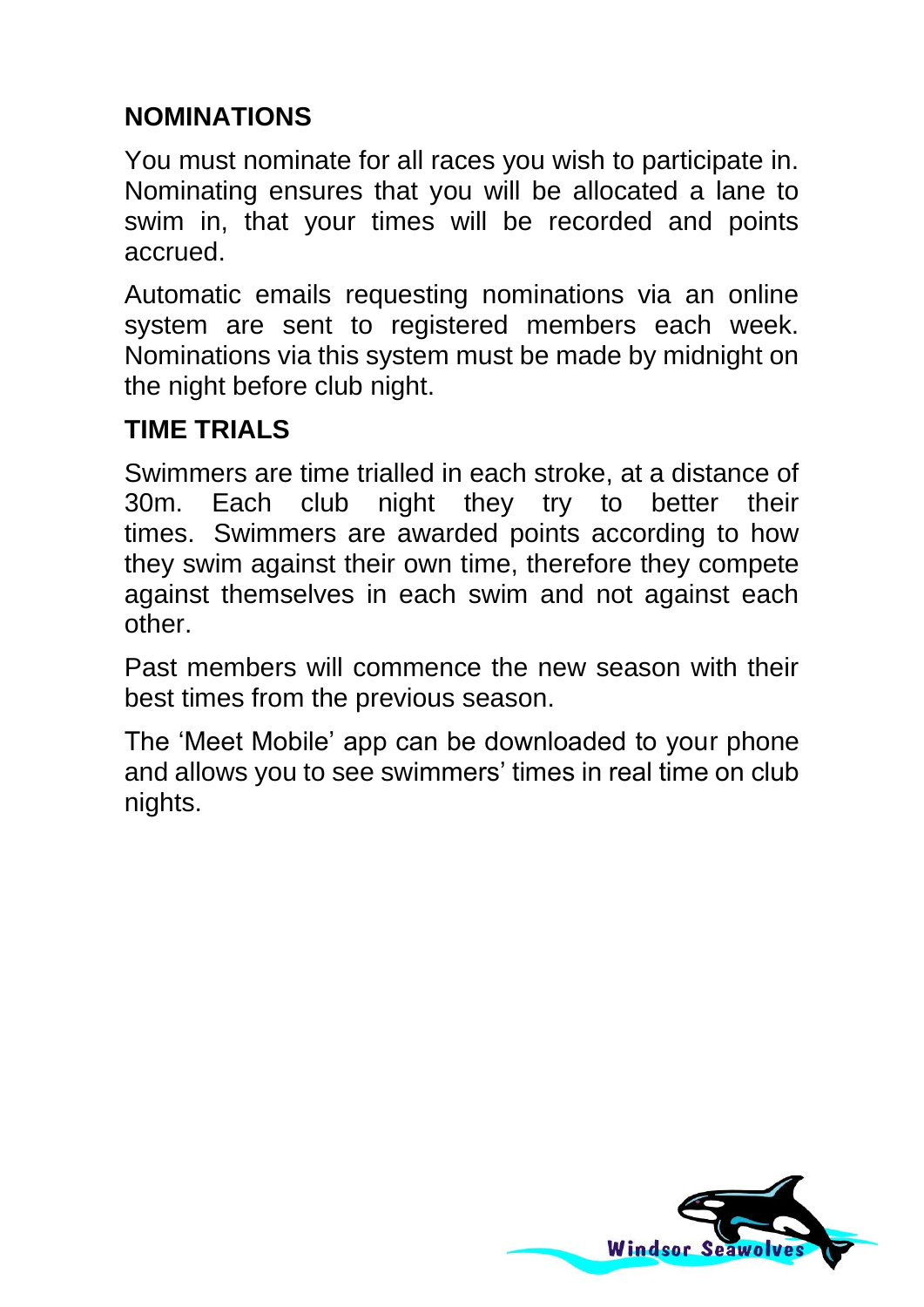## **NOMINATIONS**

You must nominate for all races you wish to participate in. Nominating ensures that you will be allocated a lane to swim in, that your times will be recorded and points accrued.

Automatic emails requesting nominations via an online system are sent to registered members each week. Nominations via this system must be made by midnight on the night before club night.

## **TIME TRIALS**

Swimmers are time trialled in each stroke, at a distance of 30m. Each club night they try to better their times. Swimmers are awarded points according to how they swim against their own time, therefore they compete against themselves in each swim and not against each other.

Past members will commence the new season with their best times from the previous season.

The 'Meet Mobile' app can be downloaded to your phone and allows you to see swimmers' times in real time on club nights.

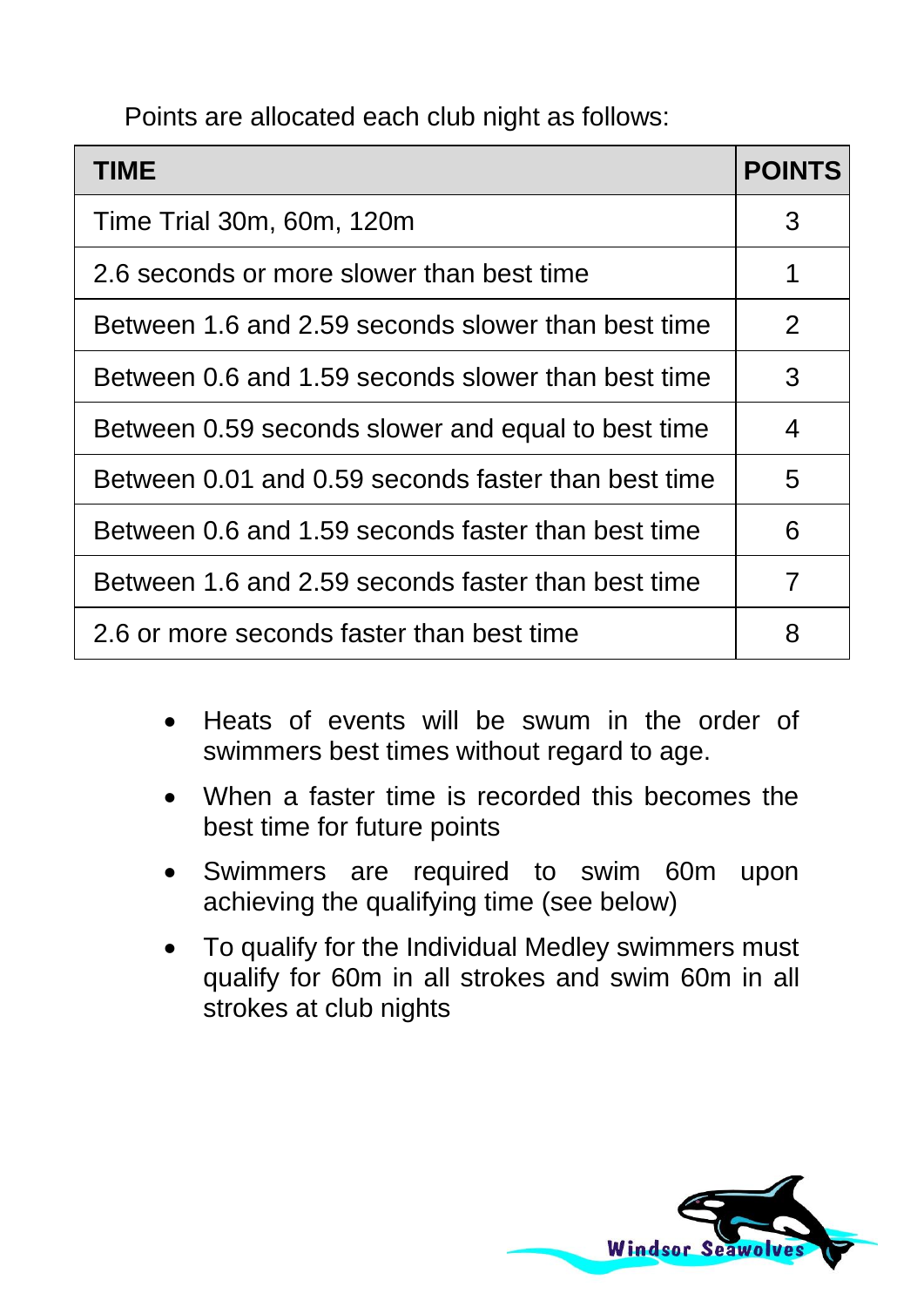Points are allocated each club night as follows:

| TIME                                                | <b>POINTS</b>         |
|-----------------------------------------------------|-----------------------|
| Time Trial 30m, 60m, 120m                           | 3                     |
| 2.6 seconds or more slower than best time           | 1                     |
| Between 1.6 and 2.59 seconds slower than best time  | $\mathbf{2}^{\prime}$ |
| Between 0.6 and 1.59 seconds slower than best time  | 3                     |
| Between 0.59 seconds slower and equal to best time  | 4                     |
| Between 0.01 and 0.59 seconds faster than best time | 5                     |
| Between 0.6 and 1.59 seconds faster than best time  | 6                     |
| Between 1.6 and 2.59 seconds faster than best time  | 7                     |
| 2.6 or more seconds faster than best time           | 8                     |

- Heats of events will be swum in the order of swimmers best times without regard to age.
- When a faster time is recorded this becomes the best time for future points
- Swimmers are required to swim 60m upon achieving the qualifying time (see below)
- To qualify for the Individual Medley swimmers must qualify for 60m in all strokes and swim 60m in all strokes at club nights

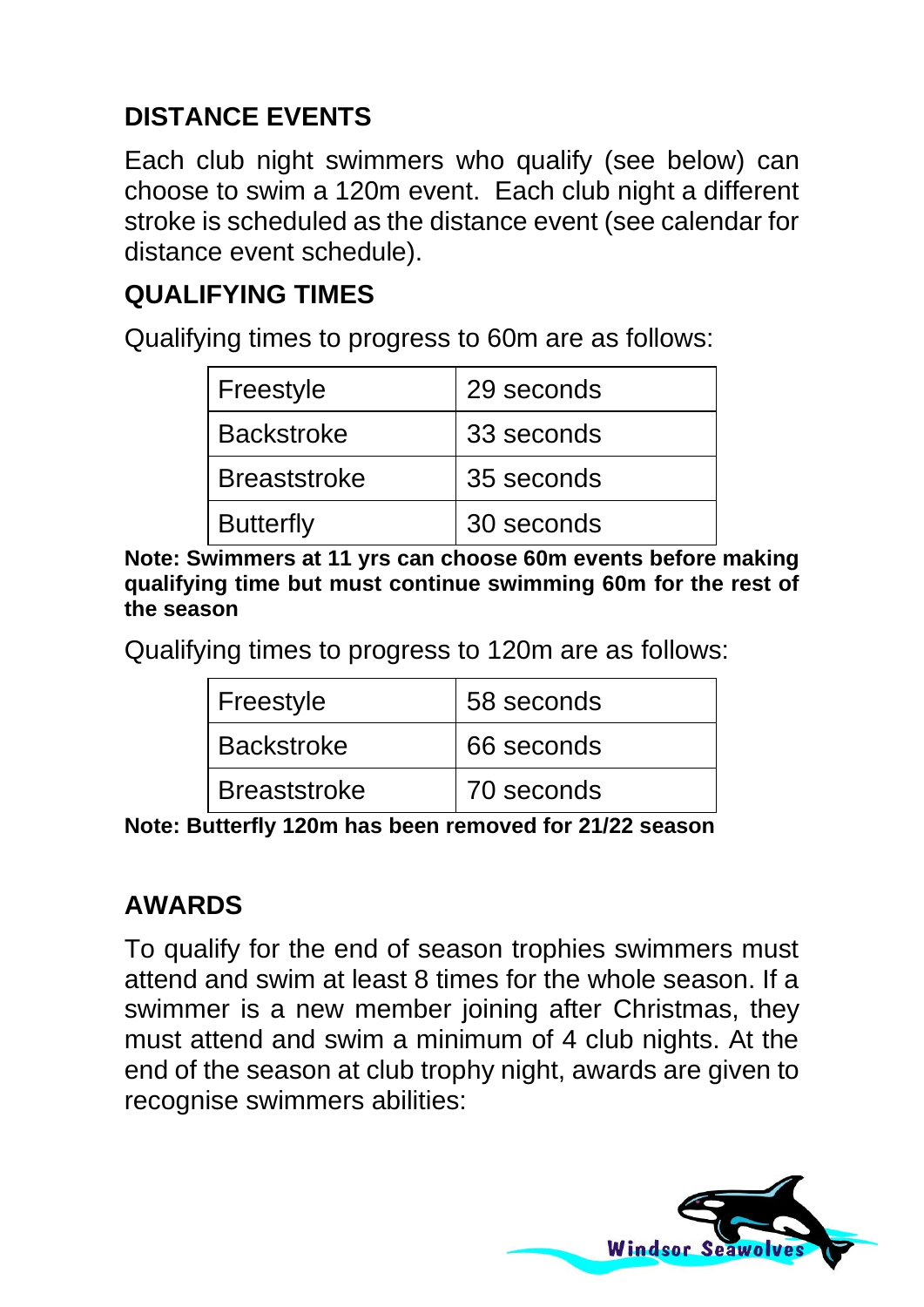## **DISTANCE EVENTS**

Each club night swimmers who qualify (see below) can choose to swim a 120m event. Each club night a different stroke is scheduled as the distance event (see calendar for distance event schedule).

## **QUALIFYING TIMES**

Qualifying times to progress to 60m are as follows:

| Freestyle           | 29 seconds |
|---------------------|------------|
| <b>Backstroke</b>   | 33 seconds |
| <b>Breaststroke</b> | 35 seconds |
| <b>Butterfly</b>    | 30 seconds |

**Note: Swimmers at 11 yrs can choose 60m events before making qualifying time but must continue swimming 60m for the rest of the season**

Qualifying times to progress to 120m are as follows:

| Freestyle           | 58 seconds |
|---------------------|------------|
| <b>Backstroke</b>   | 66 seconds |
| <b>Breaststroke</b> | 70 seconds |

**Note: Butterfly 120m has been removed for 21/22 season**

#### **AWARDS**

To qualify for the end of season trophies swimmers must attend and swim at least 8 times for the whole season. If a swimmer is a new member joining after Christmas, they must attend and swim a minimum of 4 club nights. At the end of the season at club trophy night, awards are given to recognise swimmers abilities:

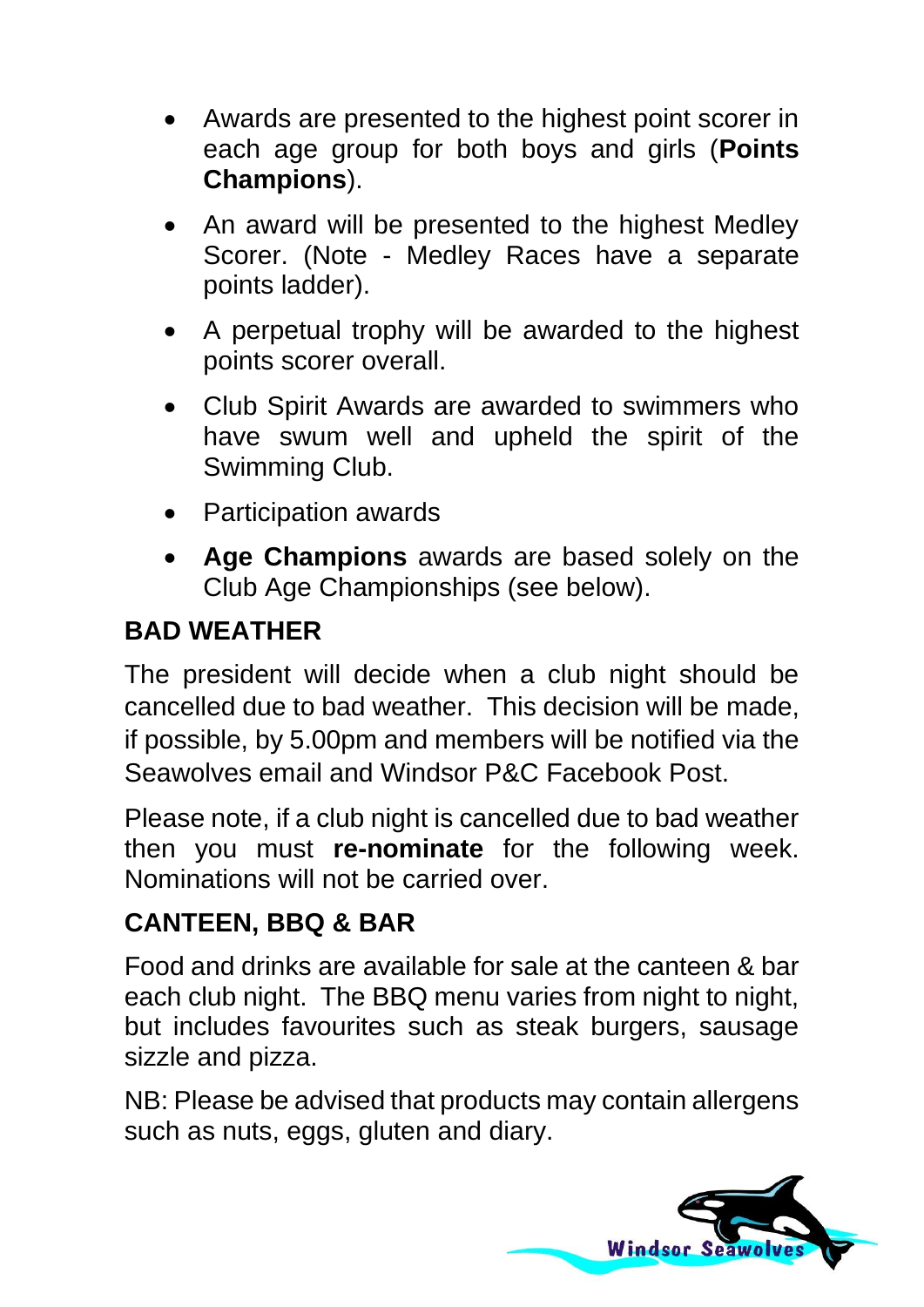- Awards are presented to the highest point scorer in each age group for both boys and girls (**Points Champions**).
- An award will be presented to the highest Medley Scorer. (Note - Medley Races have a separate points ladder).
- A perpetual trophy will be awarded to the highest points scorer overall.
- Club Spirit Awards are awarded to swimmers who have swum well and upheld the spirit of the Swimming Club.
- Participation awards
- **Age Champions** awards are based solely on the Club Age Championships (see below).

## **BAD WEATHER**

The president will decide when a club night should be cancelled due to bad weather. This decision will be made, if possible, by 5.00pm and members will be notified via the Seawolves email and Windsor P&C Facebook Post.

Please note, if a club night is cancelled due to bad weather then you must **re-nominate** for the following week. Nominations will not be carried over.

## **CANTEEN, BBQ & BAR**

Food and drinks are available for sale at the canteen & bar each club night. The BBQ menu varies from night to night, but includes favourites such as steak burgers, sausage sizzle and pizza.

NB: Please be advised that products may contain allergens such as nuts, eggs, gluten and diary.

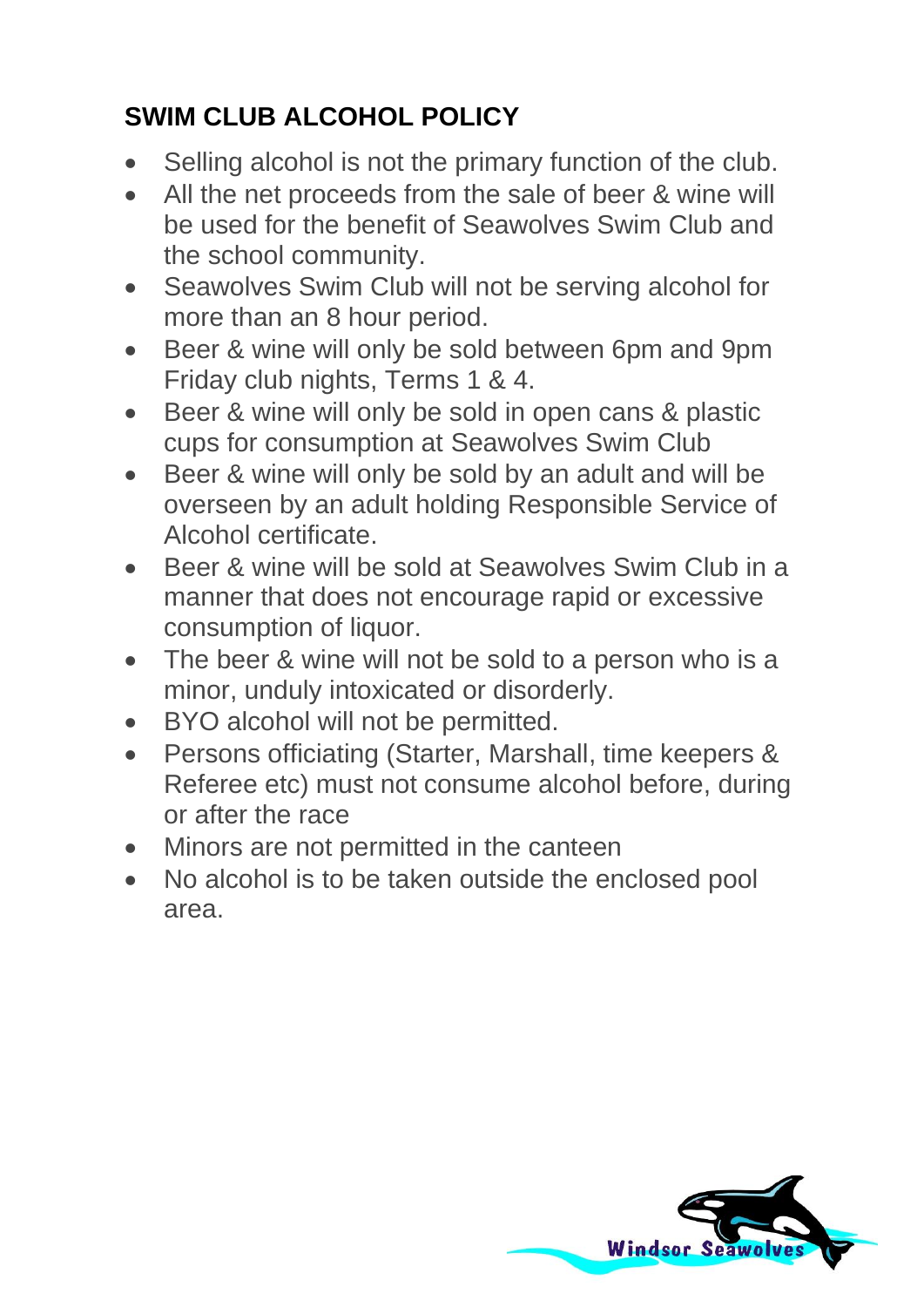# **SWIM CLUB ALCOHOL POLICY**

- Selling alcohol is not the primary function of the club.
- All the net proceeds from the sale of beer & wine will be used for the benefit of Seawolves Swim Club and the school community.
- Seawolves Swim Club will not be serving alcohol for more than an 8 hour period.
- Beer & wine will only be sold between 6pm and 9pm Friday club nights, Terms 1 & 4.
- Beer & wine will only be sold in open cans & plastic cups for consumption at Seawolves Swim Club
- Beer & wine will only be sold by an adult and will be overseen by an adult holding Responsible Service of Alcohol certificate.
- Beer & wine will be sold at Seawolves Swim Club in a manner that does not encourage rapid or excessive consumption of liquor.
- The beer & wine will not be sold to a person who is a minor, unduly intoxicated or disorderly.
- BYO alcohol will not be permitted.
- Persons officiating (Starter, Marshall, time keepers & Referee etc) must not consume alcohol before, during or after the race
- Minors are not permitted in the canteen
- No alcohol is to be taken outside the enclosed pool area.

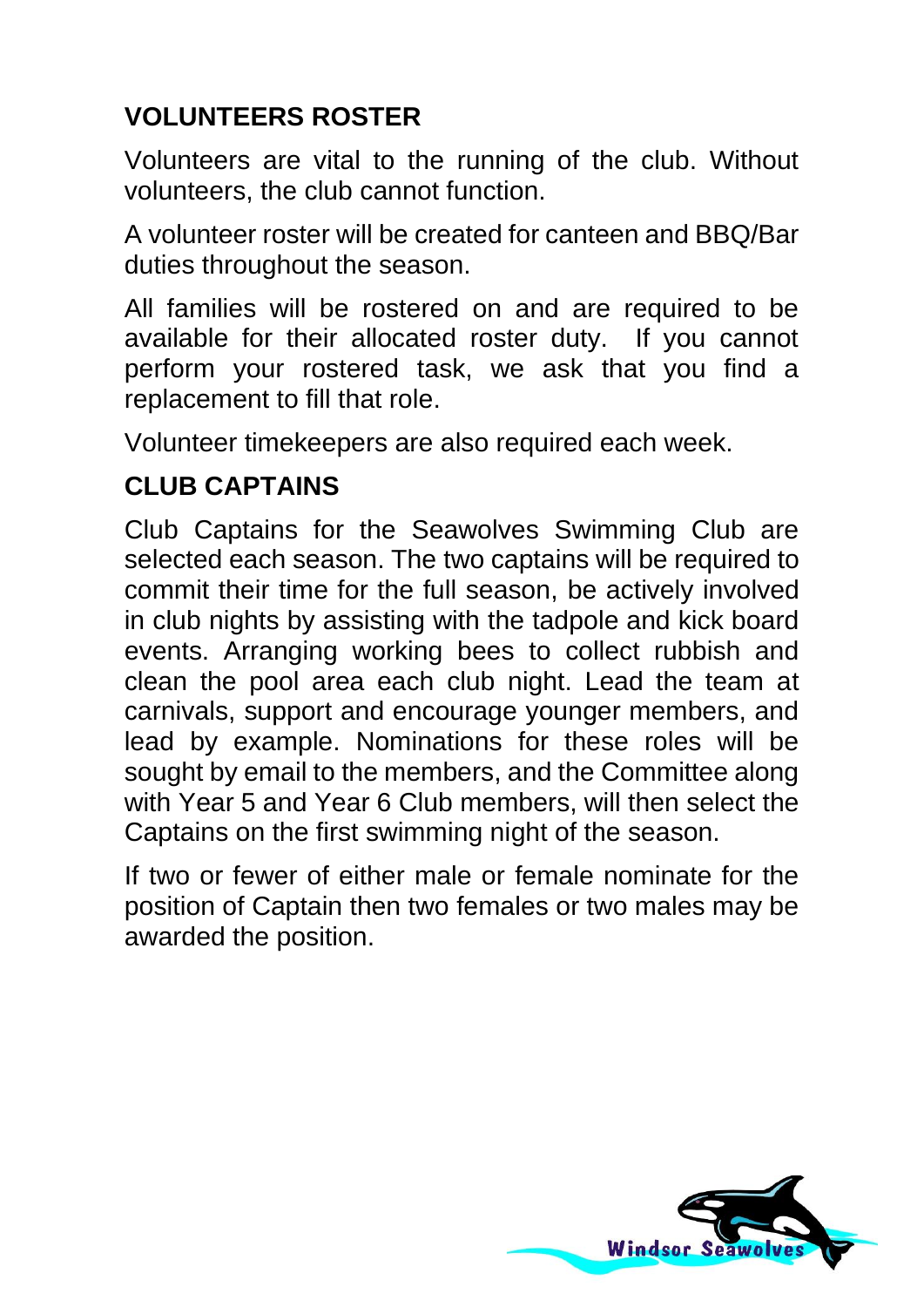# **VOLUNTEERS ROSTER**

Volunteers are vital to the running of the club. Without volunteers, the club cannot function.

A volunteer roster will be created for canteen and BBQ/Bar duties throughout the season.

All families will be rostered on and are required to be available for their allocated roster duty. If you cannot perform your rostered task, we ask that you find a replacement to fill that role.

Volunteer timekeepers are also required each week.

#### **CLUB CAPTAINS**

Club Captains for the Seawolves Swimming Club are selected each season. The two captains will be required to commit their time for the full season, be actively involved in club nights by assisting with the tadpole and kick board events. Arranging working bees to collect rubbish and clean the pool area each club night. Lead the team at carnivals, support and encourage younger members, and lead by example. Nominations for these roles will be sought by email to the members, and the Committee along with Year 5 and Year 6 Club members, will then select the Captains on the first swimming night of the season.

If two or fewer of either male or female nominate for the position of Captain then two females or two males may be awarded the position.

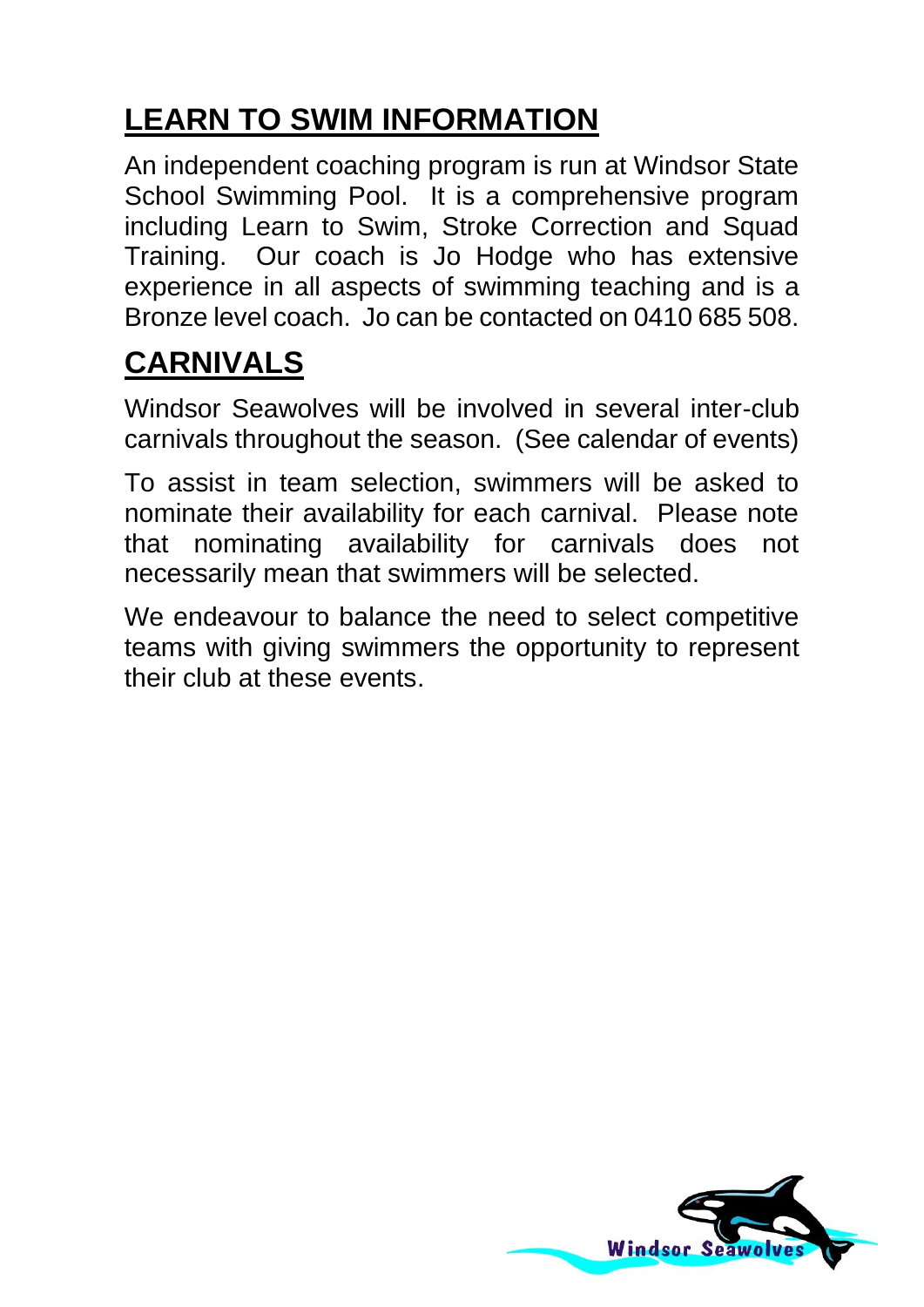# **LEARN TO SWIM INFORMATION**

An independent coaching program is run at Windsor State School Swimming Pool. It is a comprehensive program including Learn to Swim, Stroke Correction and Squad Training. Our coach is Jo Hodge who has extensive experience in all aspects of swimming teaching and is a Bronze level coach. Jo can be contacted on 0410 685 508.

# **CARNIVALS**

Windsor Seawolves will be involved in several inter-club carnivals throughout the season. (See calendar of events)

To assist in team selection, swimmers will be asked to nominate their availability for each carnival. Please note that nominating availability for carnivals does not necessarily mean that swimmers will be selected.

We endeavour to balance the need to select competitive teams with giving swimmers the opportunity to represent their club at these events.

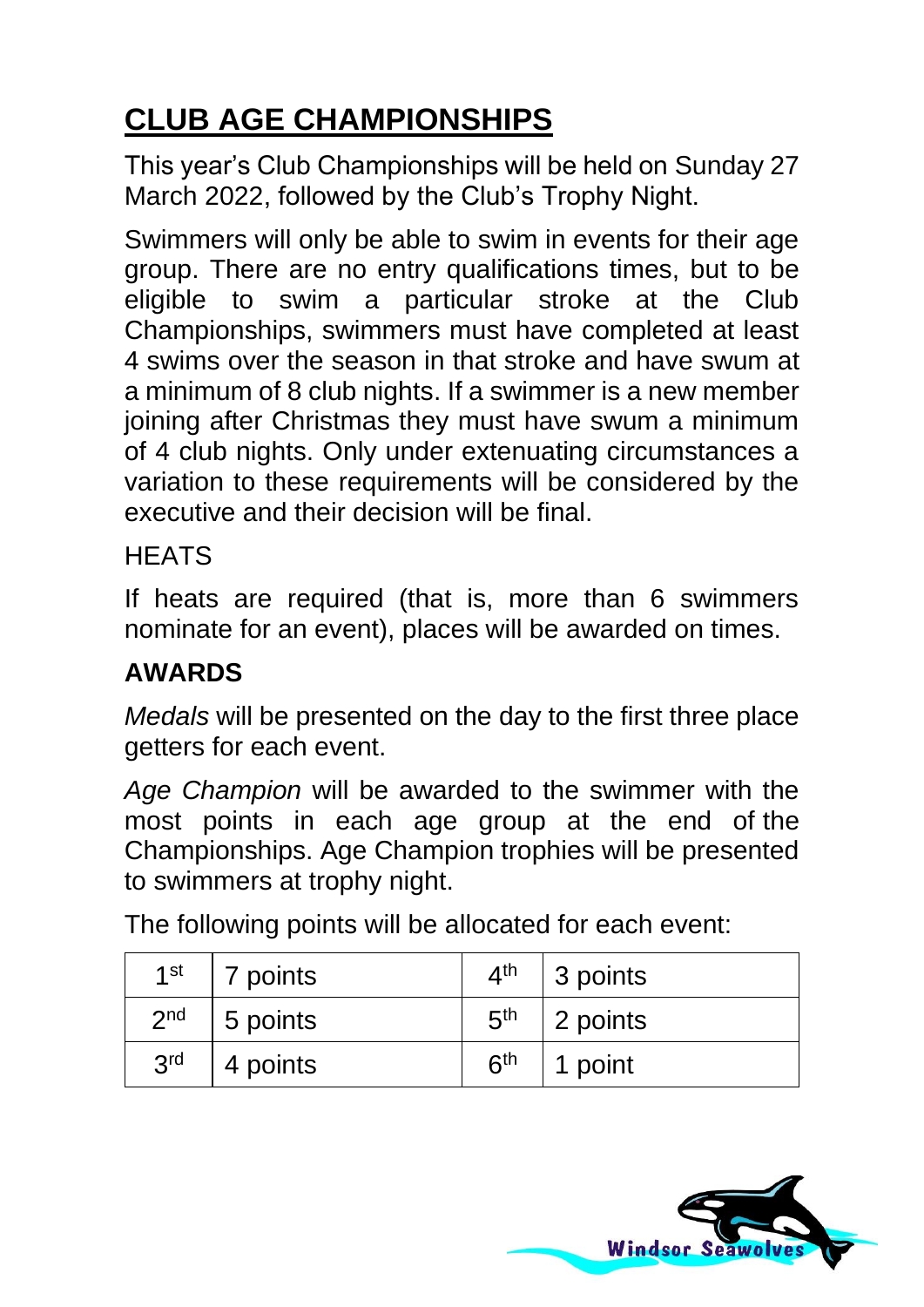# **CLUB AGE CHAMPIONSHIPS**

This year's Club Championships will be held on Sunday 27 March 2022, followed by the Club's Trophy Night.

Swimmers will only be able to swim in events for their age group. There are no entry qualifications times, but to be eligible to swim a particular stroke at the Club Championships, swimmers must have completed at least 4 swims over the season in that stroke and have swum at a minimum of 8 club nights. If a swimmer is a new member joining after Christmas they must have swum a minimum of 4 club nights. Only under extenuating circumstances a variation to these requirements will be considered by the executive and their decision will be final.

#### **HFATS**

If heats are required (that is, more than 6 swimmers nominate for an event), places will be awarded on times.

## **AWARDS**

*Medals* will be presented on the day to the first three place getters for each event.

*Age Champion* will be awarded to the swimmer with the most points in each age group at the end of the Championships. Age Champion trophies will be presented to swimmers at trophy night.

The following points will be allocated for each event:

| 1st             | 7 points         | 4 <sup>th</sup> | 3 points |
|-----------------|------------------|-----------------|----------|
| 2 <sub>nd</sub> | $\vert$ 5 points | 5 <sup>th</sup> | 2 points |
| 3 <sup>rd</sup> | 4 points         | հ <sup>th</sup> | 1 point  |

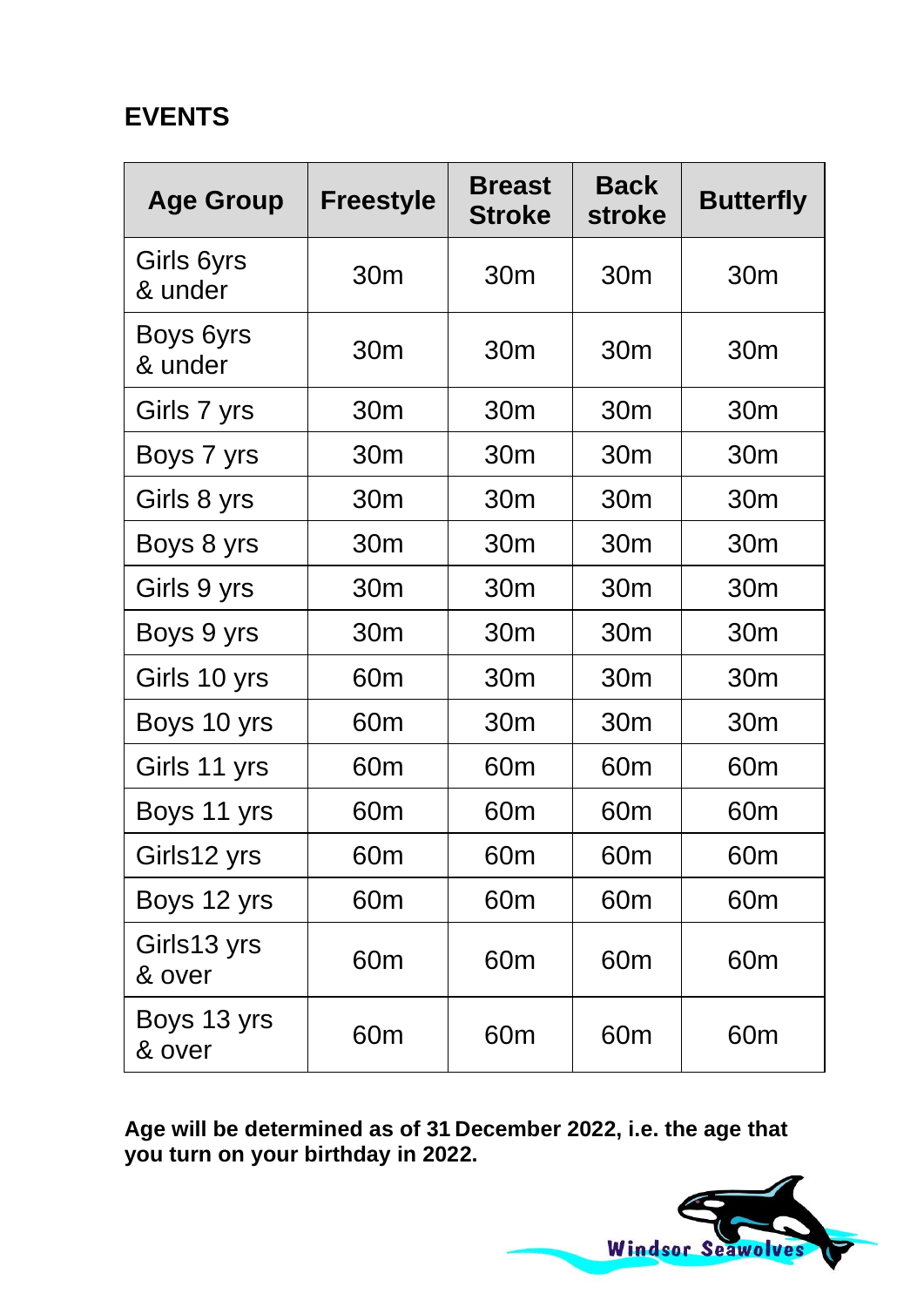## **EVENTS**

| <b>Age Group</b>      | <b>Freestyle</b> | <b>Breast</b><br><b>Stroke</b> | <b>Back</b><br><b>stroke</b> | <b>Butterfly</b> |
|-----------------------|------------------|--------------------------------|------------------------------|------------------|
| Girls 6yrs<br>& under | 30 <sub>m</sub>  | 30 <sub>m</sub>                | 30 <sub>m</sub>              | 30 <sub>m</sub>  |
| Boys 6yrs<br>& under  | 30 <sub>m</sub>  | 30 <sub>m</sub>                | 30 <sub>m</sub>              | 30 <sub>m</sub>  |
| Girls 7 yrs           | 30 <sub>m</sub>  | 30 <sub>m</sub>                | 30 <sub>m</sub>              | 30 <sub>m</sub>  |
| Boys 7 yrs            | 30 <sub>m</sub>  | 30 <sub>m</sub>                | 30m                          | 30m              |
| Girls 8 yrs           | 30m              | 30m                            | 30m                          | 30m              |
| Boys 8 yrs            | 30 <sub>m</sub>  | 30 <sub>m</sub>                | 30 <sub>m</sub>              | 30 <sub>m</sub>  |
| Girls 9 yrs           | 30 <sub>m</sub>  | 30 <sub>m</sub>                | 30 <sub>m</sub>              | 30 <sub>m</sub>  |
| Boys 9 yrs            | 30 <sub>m</sub>  | 30 <sub>m</sub>                | 30m                          | 30m              |
| Girls 10 yrs          | 60 <sub>m</sub>  | 30 <sub>m</sub>                | 30m                          | 30m              |
| Boys 10 yrs           | 60 <sub>m</sub>  | 30m                            | 30m                          | 30 <sub>m</sub>  |
| Girls 11 yrs          | 60 <sub>m</sub>  | 60 <sub>m</sub>                | 60 <sub>m</sub>              | 60 <sub>m</sub>  |
| Boys 11 yrs           | 60 <sub>m</sub>  | 60 <sub>m</sub>                | 60 <sub>m</sub>              | 60 <sub>m</sub>  |
| Girls12 yrs           | 60 <sub>m</sub>  | 60 <sub>m</sub>                | 60 <sub>m</sub>              | 60 <sub>m</sub>  |
| Boys 12 yrs           | 60 <sub>m</sub>  | 60 <sub>m</sub>                | 60 <sub>m</sub>              | 60 <sub>m</sub>  |
| Girls13 yrs<br>& over | 60 <sub>m</sub>  | 60 <sub>m</sub>                | 60 <sub>m</sub>              | 60 <sub>m</sub>  |
| Boys 13 yrs<br>& over | 60 <sub>m</sub>  | 60 <sub>m</sub>                | 60 <sub>m</sub>              | 60 <sub>m</sub>  |

**Age will be determined as of 31 December 2022, i.e. the age that you turn on your birthday in 2022.**

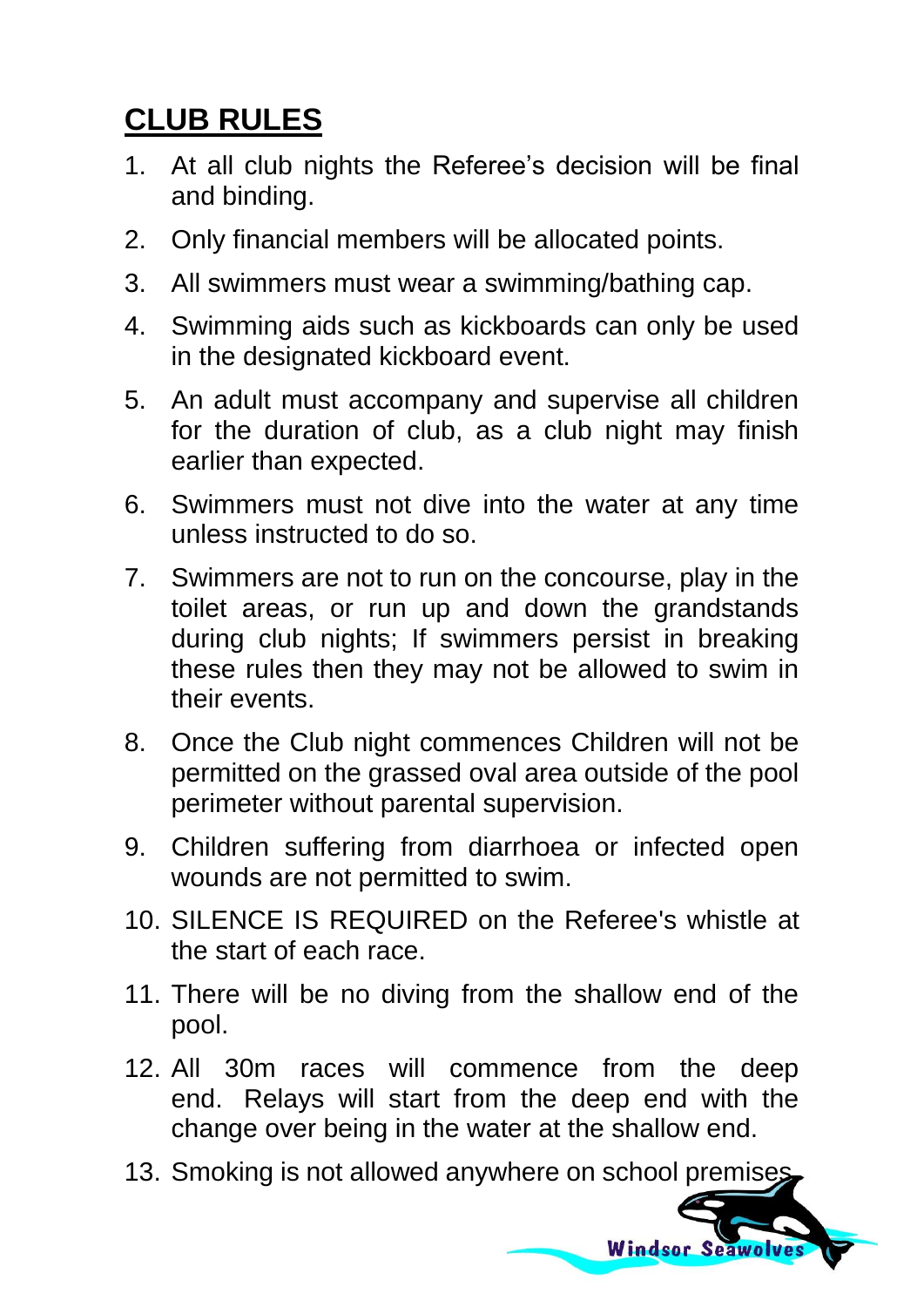# **CLUB RULES**

- 1. At all club nights the Referee's decision will be final and binding.
- 2. Only financial members will be allocated points.
- 3. All swimmers must wear a swimming/bathing cap.
- 4. Swimming aids such as kickboards can only be used in the designated kickboard event.
- 5. An adult must accompany and supervise all children for the duration of club, as a club night may finish earlier than expected.
- 6. Swimmers must not dive into the water at any time unless instructed to do so.
- 7. Swimmers are not to run on the concourse, play in the toilet areas, or run up and down the grandstands during club nights; If swimmers persist in breaking these rules then they may not be allowed to swim in their events.
- 8. Once the Club night commences Children will not be permitted on the grassed oval area outside of the pool perimeter without parental supervision.
- 9. Children suffering from diarrhoea or infected open wounds are not permitted to swim.
- 10. SILENCE IS REQUIRED on the Referee's whistle at the start of each race.
- 11. There will be no diving from the shallow end of the pool.
- 12. All 30m races will commence from the deep end. Relays will start from the deep end with the change over being in the water at the shallow end.
- 13. Smoking is not allowed anywhere on school premises

**Windsor Seawolve**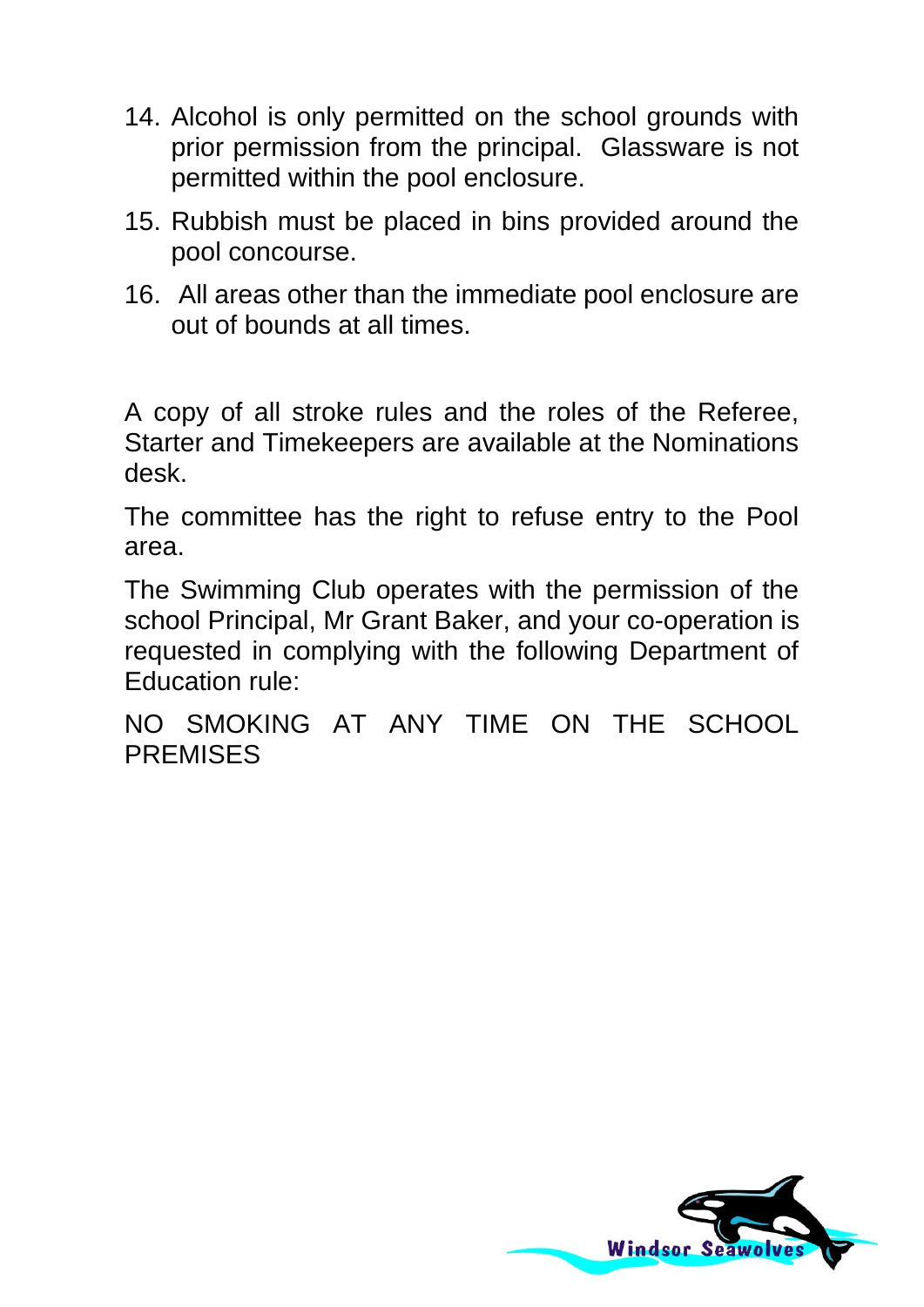- 14. Alcohol is only permitted on the school grounds with prior permission from the principal. Glassware is not permitted within the pool enclosure.
- 15. Rubbish must be placed in bins provided around the pool concourse.
- 16. All areas other than the immediate pool enclosure are out of bounds at all times.

A copy of all stroke rules and the roles of the Referee, Starter and Timekeepers are available at the Nominations desk.

The committee has the right to refuse entry to the Pool area.

The Swimming Club operates with the permission of the school Principal, Mr Grant Baker, and your co-operation is requested in complying with the following Department of Education rule:

NO SMOKING AT ANY TIME ON THE SCHOOL **PREMISES** 

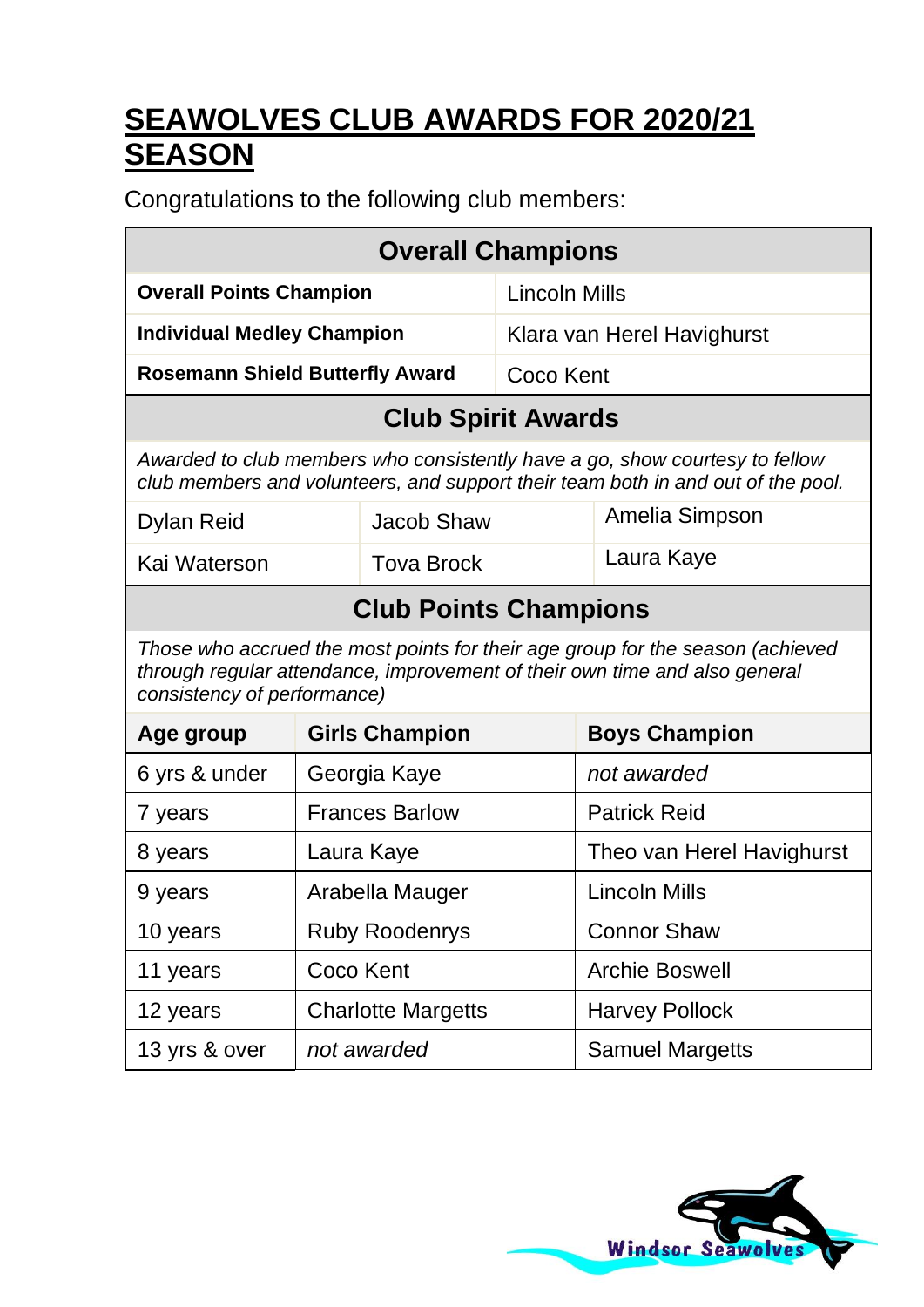# **SEAWOLVES CLUB AWARDS FOR 2020/21 SEASON**

Congratulations to the following club members:

| <b>Overall Champions</b>                                                                                                                                                                    |                                               |                              |               |                                                                                                                                                                 |
|---------------------------------------------------------------------------------------------------------------------------------------------------------------------------------------------|-----------------------------------------------|------------------------------|---------------|-----------------------------------------------------------------------------------------------------------------------------------------------------------------|
| <b>Overall Points Champion</b>                                                                                                                                                              |                                               | Lincoln Mills                |               |                                                                                                                                                                 |
| <b>Individual Medley Champion</b>                                                                                                                                                           |                                               |                              |               | Klara van Herel Havighurst                                                                                                                                      |
| <b>Rosemann Shield Butterfly Award</b>                                                                                                                                                      |                                               |                              | Coco Kent     |                                                                                                                                                                 |
|                                                                                                                                                                                             |                                               | <b>Club Spirit Awards</b>    |               |                                                                                                                                                                 |
|                                                                                                                                                                                             |                                               |                              |               | Awarded to club members who consistently have a go, show courtesy to fellow<br>club members and volunteers, and support their team both in and out of the pool. |
| Dylan Reid                                                                                                                                                                                  |                                               | Jacob Shaw                   |               | Amelia Simpson                                                                                                                                                  |
| Kai Waterson                                                                                                                                                                                |                                               | <b>Tova Brock</b>            |               | Laura Kaye                                                                                                                                                      |
|                                                                                                                                                                                             |                                               | <b>Club Points Champions</b> |               |                                                                                                                                                                 |
| Those who accrued the most points for their age group for the season (achieved<br>through regular attendance, improvement of their own time and also general<br>consistency of performance) |                                               |                              |               |                                                                                                                                                                 |
| Age group                                                                                                                                                                                   | <b>Girls Champion</b><br><b>Boys Champion</b> |                              |               |                                                                                                                                                                 |
| 6 yrs & under                                                                                                                                                                               |                                               | Georgia Kaye                 |               | not awarded                                                                                                                                                     |
| 7 years                                                                                                                                                                                     |                                               | <b>Frances Barlow</b>        |               | <b>Patrick Reid</b>                                                                                                                                             |
| 8 years                                                                                                                                                                                     | Laura Kaye                                    |                              |               | Theo van Herel Havighurst                                                                                                                                       |
| Arabella Mauger<br>9 years                                                                                                                                                                  |                                               |                              | Lincoln Mills |                                                                                                                                                                 |
| 10 years                                                                                                                                                                                    | <b>Ruby Roodenrys</b>                         |                              |               | <b>Connor Shaw</b>                                                                                                                                              |
| 11 years                                                                                                                                                                                    | Coco Kent                                     |                              |               | Archie Boswell                                                                                                                                                  |
| 12 years                                                                                                                                                                                    |                                               | <b>Charlotte Margetts</b>    |               | <b>Harvey Pollock</b>                                                                                                                                           |
| 13 yrs & over                                                                                                                                                                               |                                               | not awarded                  |               | <b>Samuel Margetts</b>                                                                                                                                          |

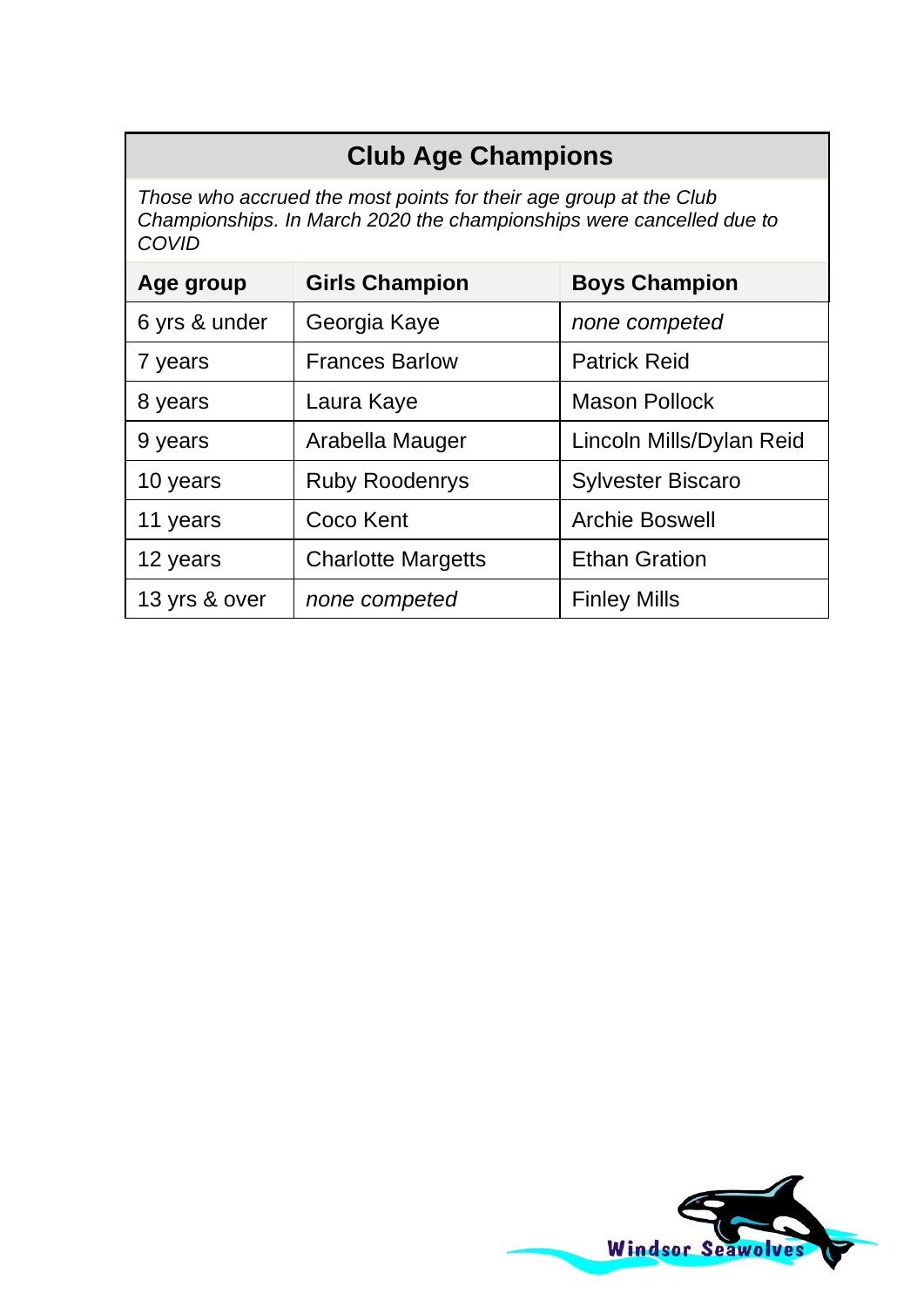## **Club Age Champions**

*Those who accrued the most points for their age group at the Club Championships. In March 2020 the championships were cancelled due to COVID* 

| Age group     | <b>Girls Champion</b>     | <b>Boys Champion</b>     |
|---------------|---------------------------|--------------------------|
| 6 yrs & under | Georgia Kaye              | none competed            |
| 7 years       | <b>Frances Barlow</b>     | <b>Patrick Reid</b>      |
| 8 years       | Laura Kaye                | Mason Pollock            |
| 9 years       | Arabella Mauger           | Lincoln Mills/Dylan Reid |
| 10 years      | <b>Ruby Roodenrys</b>     | <b>Sylvester Biscaro</b> |
| 11 years      | Coco Kent                 | Archie Boswell           |
| 12 years      | <b>Charlotte Margetts</b> | <b>Ethan Gration</b>     |
| 13 yrs & over | none competed             | <b>Finley Mills</b>      |

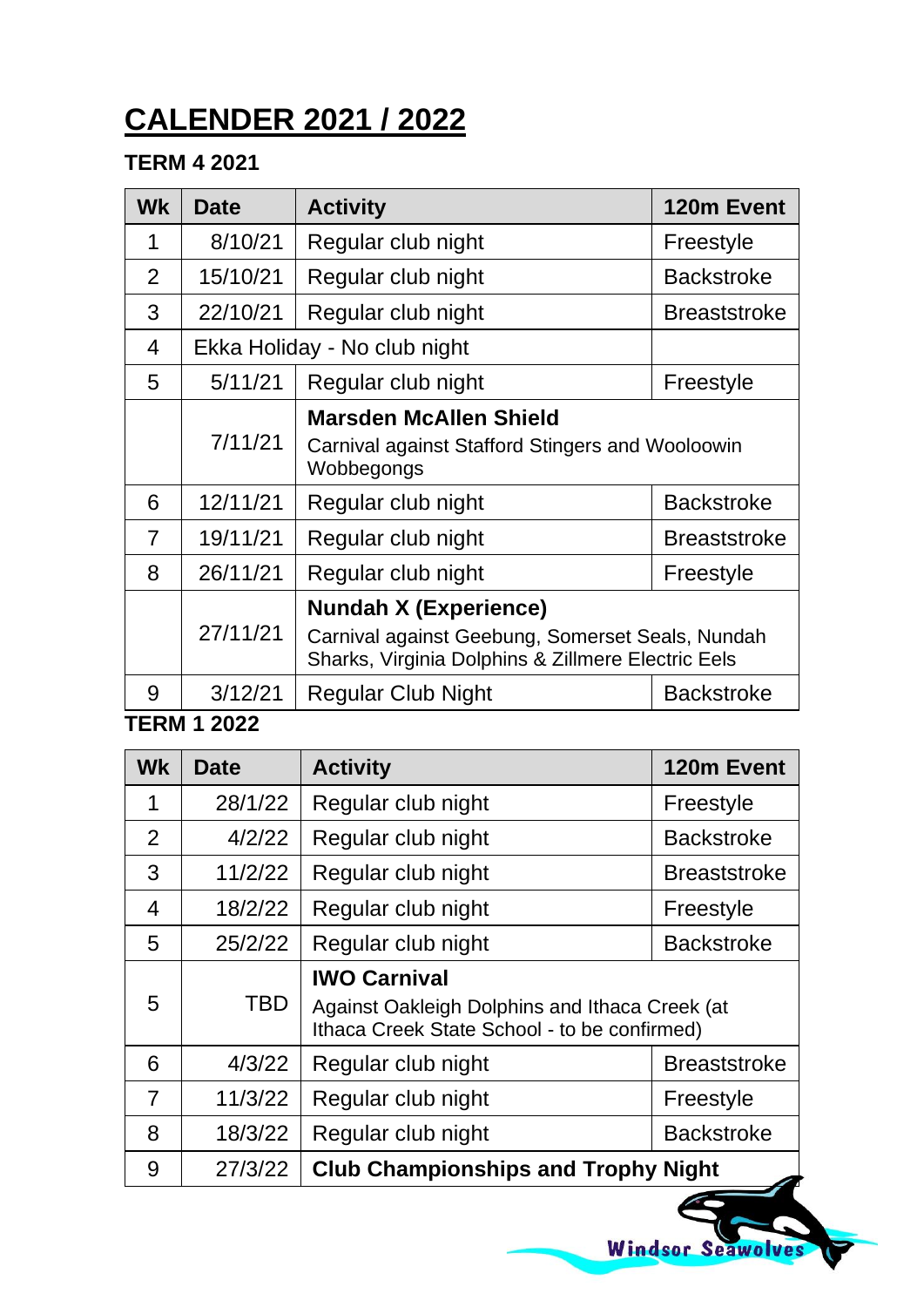# **CALENDER 2021 / 2022**

#### **TERM 4 2021**

| <b>Wk</b>      | <b>Date</b> | <b>Activity</b>                                                                                                                        | 120m Event          |
|----------------|-------------|----------------------------------------------------------------------------------------------------------------------------------------|---------------------|
| 1              | 8/10/21     | Regular club night                                                                                                                     | Freestyle           |
| $\overline{2}$ | 15/10/21    | Regular club night                                                                                                                     | <b>Backstroke</b>   |
| 3              | 22/10/21    | Regular club night                                                                                                                     | <b>Breaststroke</b> |
| 4              |             | Ekka Holiday - No club night                                                                                                           |                     |
| 5              | 5/11/21     | Regular club night                                                                                                                     | Freestyle           |
|                | 7/11/21     | Marsden McAllen Shield<br>Carnival against Stafford Stingers and Wooloowin<br>Wobbegongs                                               |                     |
| 6              | 12/11/21    | Regular club night                                                                                                                     | <b>Backstroke</b>   |
| 7              | 19/11/21    | Regular club night                                                                                                                     | <b>Breaststroke</b> |
| 8              | 26/11/21    | Regular club night                                                                                                                     | Freestyle           |
|                | 27/11/21    | <b>Nundah X (Experience)</b><br>Carnival against Geebung, Somerset Seals, Nundah<br>Sharks, Virginia Dolphins & Zillmere Electric Eels |                     |
| 9              | 3/12/21     | Regular Club Night                                                                                                                     | <b>Backstroke</b>   |

**TERM 1 2022**

| <b>Wk</b> | Date    | <b>Activity</b>                                                                                                       | 120m Event          |
|-----------|---------|-----------------------------------------------------------------------------------------------------------------------|---------------------|
| 1         | 28/1/22 | Regular club night                                                                                                    | Freestyle           |
| 2         | 4/2/22  | Regular club night                                                                                                    | <b>Backstroke</b>   |
| 3         | 11/2/22 | Regular club night                                                                                                    | <b>Breaststroke</b> |
| 4         | 18/2/22 | Regular club night                                                                                                    | Freestyle           |
| 5         | 25/2/22 | Regular club night                                                                                                    | <b>Backstroke</b>   |
| 5         | TBD     | <b>IWO Carnival</b><br>Against Oakleigh Dolphins and Ithaca Creek (at<br>Ithaca Creek State School - to be confirmed) |                     |
| 6         | 4/3/22  | Regular club night                                                                                                    | <b>Breaststroke</b> |
| 7         | 11/3/22 | Regular club night                                                                                                    | Freestyle           |
| 8         | 18/3/22 | Regular club night                                                                                                    | <b>Backstroke</b>   |
| 9         | 27/3/22 | <b>Club Championships and Trophy Night</b>                                                                            |                     |

Windsor Seawolves